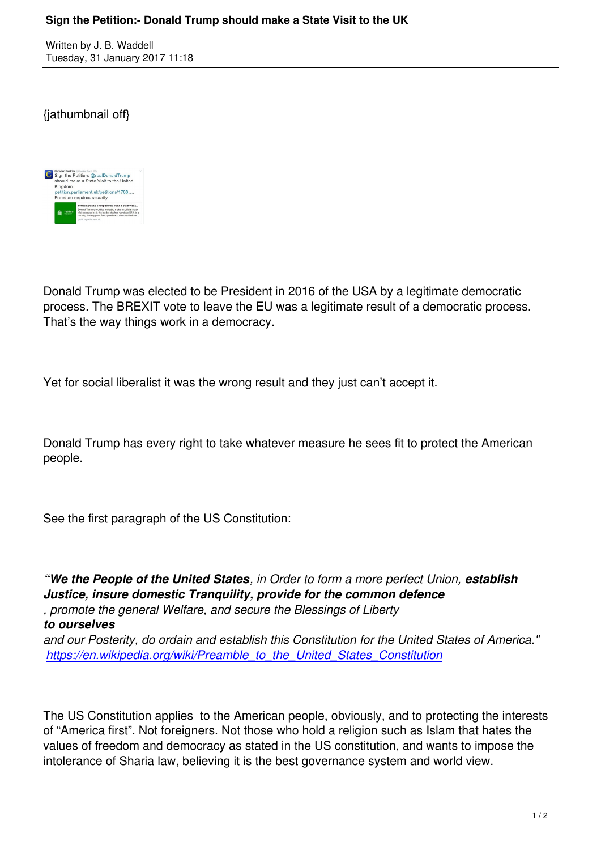## {jathumbnail off}



Donald Trump was elected to be President in 2016 of the USA by a legitimate democratic process. The BREXIT vote to leave the EU was a legitimate result of a democratic process. That's the way things work in a democracy.

Yet for social liberalist it was the wrong result and they just can't accept it.

Donald Trump has every right to take whatever measure he sees fit to protect the American people.

See the first paragraph of the US Constitution:

*"We the People of the United States, in Order to form a more perfect Union, establish Justice, insure domestic Tranquility, provide for the common defence , promote the general Welfare, and secure the Blessings of Liberty to ourselves and our Posterity, do ordain and establish this Constitution for the United States of America." https://en.wikipedia.org/wiki/Preamble\_to\_the\_United\_States\_Constitution*

[The US Constitution applies to the American people, obviously, and to pro](https://en.wikipedia.org/wiki/Preamble_to_the_United_States_Constitution)tecting the interests of "America first". Not foreigners. Not those who hold a religion such as Islam that hates the values of freedom and democracy as stated in the US constitution, and wants to impose the intolerance of Sharia law, believing it is the best governance system and world view.